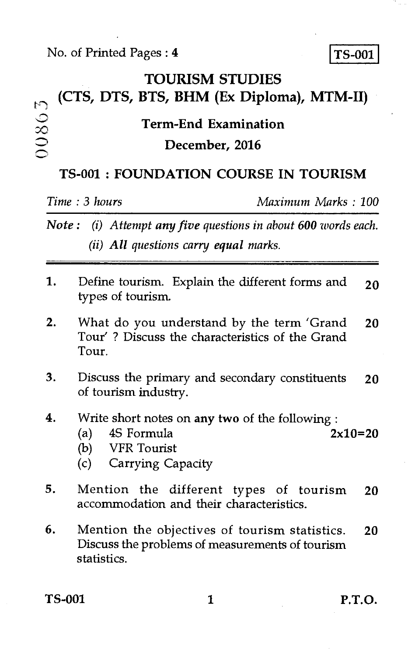### No. of Printed Pages : **4 ITS-001**

## **TOURISM STUDIES (CTS, DTS, BTS, BHM (Ex Diploma), MTM-II)**  00803 **Term-End Examination December, 2016**

### **TS-001 : FOUNDATION COURSE IN TOURISM**

*Time : 3 hours Maximum Marks : 100* 

*Note : (i) Attempt any five questions in about 600 words each. (ii) All questions carry equal marks.* 

- 1. Define tourism. Explain the different forms and  $20$ types of tourism.
- 2. What do you understand by the term 'Grand 20 Tour' ? Discuss the characteristics of the Grand Tour.
- 3. Discuss the primary and secondary constituents 20 of tourism industry.
- **4.** Write short notes on *any two* of the following :
	- (a)  $4S$  Formula  $2x10=20$
	- (b) VFR Tourist
	- (c) Carrying Capacity
- 5. Mention the different types of tourism 20 accommodation and their characteristics.
- 6. Mention the objectives of tourism statistics. 20 Discuss the problems of measurements of tourism statistics.

TS-001 1 P.T.O.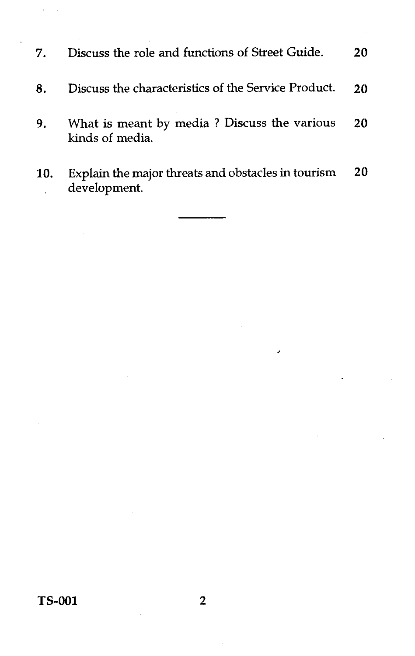- 7. Discuss the role and functions of Street Guide. **20 8.** Discuss the characteristics of the Service Product. 20 9. What is meant by media ? Discuss the various kinds of media. 20
- **10.** Explain the major threats and obstacles in tourism development. 20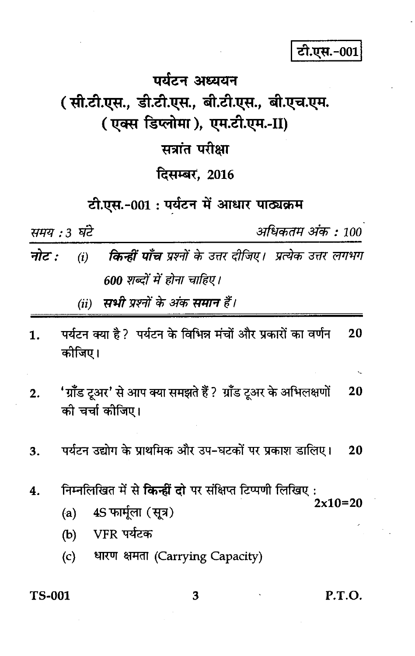टी.एस.-001

# पर्यटन अध्ययन (सी.टी.एस., डी.टी.एस., बी.टी.एस., बी.एच.एम. (एक्स डिप्लोमा), एम.टी.एम.-II) सत्रांत परीक्षा

### दिसम्बर, 2016

### टी.एस.-001 : पर्यटन में आधार पाठ्यक्रम

समय : 3 घंटे

अधिकतम अंक : 100

नोट : **किन्हीं पाँच** प्रश्नों के उत्तर दीजिए। प्रत्येक उत्तर लगभग  $(i)$ 600 शब्दों में होना चाहिए।

> सभी प्रश्नों के अंक समान हैं।  $(ii)$

- पर्यटन क्या है ? पर्यटन के विभिन्न मंचों और प्रकारों का वर्णन 20  $\mathbf 1$ कोजिए।
- 'ग्रॉॅंड टूअर' से आप क्या समझते हैं ? ग्रॉंड टूअर के अभिलक्षणों  $2.$ 20 की चर्चा कोजिए।
- पर्यटन उद्योग के प्राथमिक और उप-घटकों पर प्रकाश डालिए। 3. 20
- निम्नलिखित में से **किन्हीं दो** पर संक्षिप्त टिप्पणी लिखिए:  $\boldsymbol{4}$ .  $2x10=20$ 
	- 4S फार्मूला (सूत्र)  $(a)$
	- VFR पर्यटक  $(b)$
	- धारण क्षमता (Carrying Capacity)  $(c)$

#### **TS-001**

P.T.O.